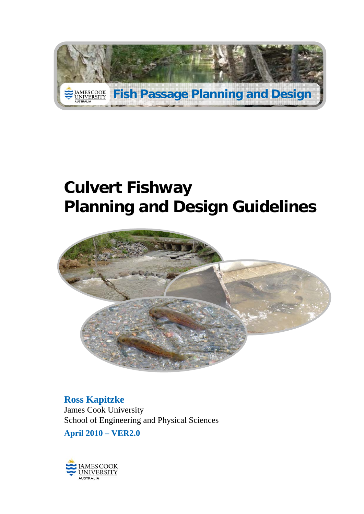

# **Culvert Fishway Planning and Design Guidelines**



**Ross Kapitzke**  James Cook University School of Engineering and Physical Sciences

**April 2010 – VER2.0**

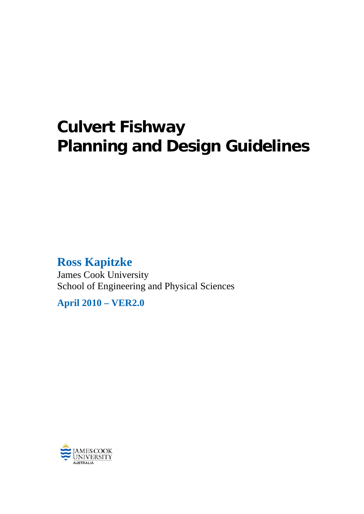# **Culvert Fishway Planning and Design Guidelines**

# **Ross Kapitzke**

James Cook University School of Engineering and Physical Sciences

**April 2010 – VER2.0**

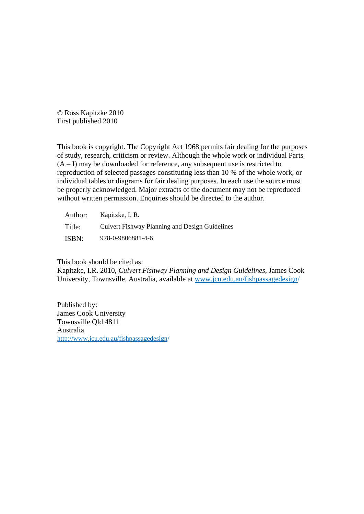© Ross Kapitzke 2010 First published 2010

This book is copyright. The Copyright Act 1968 permits fair dealing for the purposes of study, research, criticism or review. Although the whole work or individual Parts  $(A - I)$  may be downloaded for reference, any subsequent use is restricted to reproduction of selected passages constituting less than 10 % of the whole work, or individual tables or diagrams for fair dealing purposes. In each use the source must be properly acknowledged. Major extracts of the document may not be reproduced without written permission. Enquiries should be directed to the author.

| Author: | Kapitzke, I. R.                                       |
|---------|-------------------------------------------------------|
| Title:  | <b>Culvert Fishway Planning and Design Guidelines</b> |
| ISBN:   | 978-0-9806881-4-6                                     |

This book should be cited as:

Kapitzke, I.R. 2010, *Culvert Fishway Planning and Design Guidelines*, James Cook University, Townsville, Australia, available at www.jcu.edu.au/fishpassagedesign/

Published by: James Cook University Townsville Qld 4811 Australia http://www.jcu.edu.au/fishpassagedesign/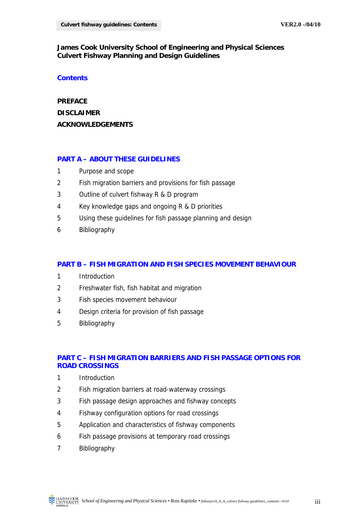### **James Cook University School of Engineering and Physical Sciences Culvert Fishway Planning and Design Guidelines**

#### **Contents**

**PREFACE DISCLAIMER ACKNOWLEDGEMENTS** 

### **PART A – ABOUT THESE GUIDELINES**

- 1 Purpose and scope
- 2 Fish migration barriers and provisions for fish passage
- 3 Outline of culvert fishway R & D program
- 4 Key knowledge gaps and ongoing R & D priorities
- 5 Using these guidelines for fish passage planning and design
- 6 Bibliography

#### **PART B – FISH MIGRATION AND FISH SPECIES MOVEMENT BEHAVIOUR**

- 1 Introduction
- 2 Freshwater fish, fish habitat and migration
- 3 Fish species movement behaviour
- 4 Design criteria for provision of fish passage
- 5 Bibliography

## **PART C – FISH MIGRATION BARRIERS AND FISH PASSAGE OPTIONS FOR ROAD CROSSINGS**

- 1 Introduction
- 2 Fish migration barriers at road-waterway crossings
- 3 Fish passage design approaches and fishway concepts
- 4 Fishway configuration options for road crossings
- 5 Application and characteristics of fishway components
- 6 Fish passage provisions at temporary road crossings
- 7 Bibliography

 *School of Engineering and Physical Sciences • Ross Kapitzke • fishways\A\_A\_A\_culvert fishway guidelines\_contents -/4/10* iii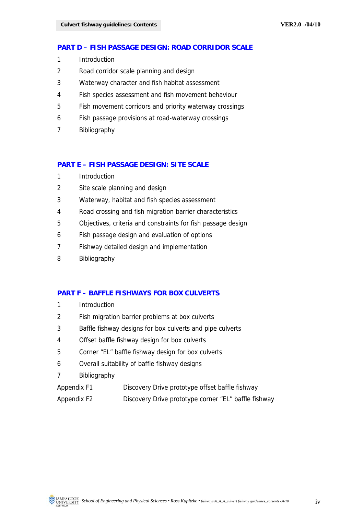#### **PART D – FISH PASSAGE DESIGN: ROAD CORRIDOR SCALE**

- 1 Introduction
- 2 Road corridor scale planning and design
- 3 Waterway character and fish habitat assessment
- 4 Fish species assessment and fish movement behaviour
- 5 Fish movement corridors and priority waterway crossings
- 6 Fish passage provisions at road-waterway crossings
- 7 Bibliography

#### **PART E – FISH PASSAGE DESIGN: SITE SCALE**

- 1 Introduction
- 2 Site scale planning and design
- 3 Waterway, habitat and fish species assessment
- 4 Road crossing and fish migration barrier characteristics
- 5 Objectives, criteria and constraints for fish passage design
- 6 Fish passage design and evaluation of options
- 7 Fishway detailed design and implementation
- 8 Bibliography

#### **PART F – BAFFLE FISHWAYS FOR BOX CULVERTS**

- 1 Introduction
- 2 Fish migration barrier problems at box culverts
- 3 Baffle fishway designs for box culverts and pipe culverts
- 4 Offset baffle fishway design for box culverts
- 5 Corner "EL" baffle fishway design for box culverts
- 6 Overall suitability of baffle fishway designs
- 7 Bibliography
- Appendix F1 Discovery Drive prototype offset baffle fishway
- Appendix F2 Discovery Drive prototype corner "EL" baffle fishway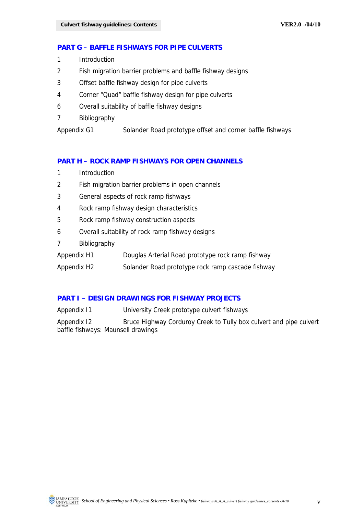#### **PART G – BAFFLE FISHWAYS FOR PIPE CULVERTS**

- 1 Introduction
- 2 Fish migration barrier problems and baffle fishway designs
- 3 Offset baffle fishway design for pipe culverts
- 4 Corner "Quad" baffle fishway design for pipe culverts
- 6 Overall suitability of baffle fishway designs
- 7 Bibliography

Appendix G1 Solander Road prototype offset and corner baffle fishways

#### **PART H – ROCK RAMP FISHWAYS FOR OPEN CHANNELS**

- 1 Introduction
- 2 Fish migration barrier problems in open channels
- 3 General aspects of rock ramp fishways
- 4 Rock ramp fishway design characteristics
- 5 Rock ramp fishway construction aspects
- 6 Overall suitability of rock ramp fishway designs
- 7 Bibliography
- Appendix H1 Douglas Arterial Road prototype rock ramp fishway
- Appendix H2 Solander Road prototype rock ramp cascade fishway

#### **PART I – DESIGN DRAWINGS FOR FISHWAY PROJECTS**

Appendix I1 University Creek prototype culvert fishways

Appendix I2 Bruce Highway Corduroy Creek to Tully box culvert and pipe culvert baffle fishways: Maunsell drawings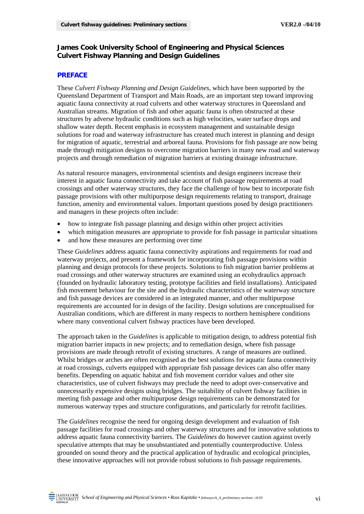#### **James Cook University School of Engineering and Physical Sciences Culvert Fishway Planning and Design Guidelines**

#### **PREFACE**

These *Culvert Fishway Planning and Design Guidelines*, which have been supported by the Queensland Department of Transport and Main Roads, are an important step toward improving aquatic fauna connectivity at road culverts and other waterway structures in Queensland and Australian streams. Migration of fish and other aquatic fauna is often obstructed at these structures by adverse hydraulic conditions such as high velocities, water surface drops and shallow water depth. Recent emphasis in ecosystem management and sustainable design solutions for road and waterway infrastructure has created much interest in planning and design for migration of aquatic, terrestrial and arboreal fauna. Provisions for fish passage are now being made through mitigation designs to overcome migration barriers in many new road and waterway projects and through remediation of migration barriers at existing drainage infrastructure.

As natural resource managers, environmental scientists and design engineers increase their interest in aquatic fauna connectivity and take account of fish passage requirements at road crossings and other waterway structures, they face the challenge of how best to incorporate fish passage provisions with other multipurpose design requirements relating to transport, drainage function, amenity and environmental values. Important questions posed by design practitioners and managers in these projects often include:

- how to integrate fish passage planning and design within other project activities
- which mitigation measures are appropriate to provide for fish passage in particular situations
- and how these measures are performing over time

These *Guidelines* address aquatic fauna connectivity aspirations and requirements for road and waterway projects, and present a framework for incorporating fish passage provisions within planning and design protocols for these projects. Solutions to fish migration barrier problems at road crossings and other waterway structures are examined using an ecohydraulics approach (founded on hydraulic laboratory testing, prototype facilities and field installations). Anticipated fish movement behaviour for the site and the hydraulic characteristics of the waterway structure and fish passage devices are considered in an integrated manner, and other multipurpose requirements are accounted for in design of the facility. Design solutions are conceptualised for Australian conditions, which are different in many respects to northern hemisphere conditions where many conventional culvert fishway practices have been developed.

The approach taken in the *Guidelines* is applicable to mitigation design, to address potential fish migration barrier impacts in new projects; and to remediation design, where fish passage provisions are made through retrofit of existing structures. A range of measures are outlined. Whilst bridges or arches are often recognised as the best solutions for aquatic fauna connectivity at road crossings, culverts equipped with appropriate fish passage devices can also offer many benefits. Depending on aquatic habitat and fish movement corridor values and other site characteristics, use of culvert fishways may preclude the need to adopt over-conservative and unnecessarily expensive designs using bridges. The suitability of culvert fishway facilities in meeting fish passage and other multipurpose design requirements can be demonstrated for numerous waterway types and structure configurations, and particularly for retrofit facilities.

The *Guidelines* recognise the need for ongoing design development and evaluation of fish passage facilities for road crossings and other waterway structures and for innovative solutions to address aquatic fauna connectivity barriers. The *Guidelines* do however caution against overly speculative attempts that may be unsubstantiated and potentially counterproductive. Unless grounded on sound theory and the practical application of hydraulic and ecological principles, these innovative approaches will not provide robust solutions to fish passage requirements.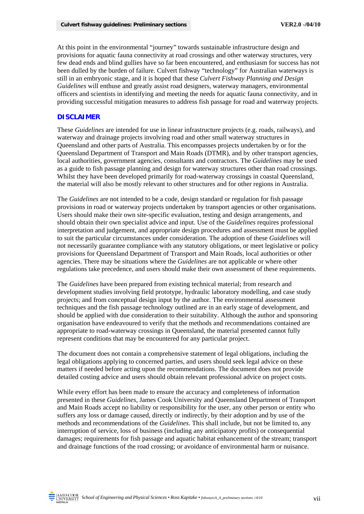At this point in the environmental "journey" towards sustainable infrastructure design and provisions for aquatic fauna connectivity at road crossings and other waterway structures, very few dead ends and blind gullies have so far been encountered, and enthusiasm for success has not been dulled by the burden of failure. Culvert fishway "technology" for Australian waterways is still in an embryonic stage, and it is hoped that these *Culvert Fishway Planning and Design Guidelines* will enthuse and greatly assist road designers, waterway managers, environmental officers and scientists in identifying and meeting the needs for aquatic fauna connectivity, and in providing successful mitigation measures to address fish passage for road and waterway projects.

#### **DISCLAIMER**

These *Guidelines* are intended for use in linear infrastructure projects (e.g. roads, railways), and waterway and drainage projects involving road and other small waterway structures in Queensland and other parts of Australia. This encompasses projects undertaken by or for the Queensland Department of Transport and Main Roads (DTMR), and by other transport agencies, local authorities, government agencies, consultants and contractors. The *Guidelines* may be used as a guide to fish passage planning and design for waterway structures other than road crossings. Whilst they have been developed primarily for road-waterway crossings in coastal Queensland, the material will also be mostly relevant to other structures and for other regions in Australia.

The *Guidelines* are not intended to be a code, design standard or regulation for fish passage provisions in road or waterway projects undertaken by transport agencies or other organisations. Users should make their own site-specific evaluation, testing and design arrangements, and should obtain their own specialist advice and input. Use of the *Guidelines* requires professional interpretation and judgement, and appropriate design procedures and assessment must be applied to suit the particular circumstances under consideration. The adoption of these *Guidelines* will not necessarily guarantee compliance with any statutory obligations, or meet legislative or policy provisions for Queensland Department of Transport and Main Roads, local authorities or other agencies. There may be situations where the *Guidelines* are not applicable or where other regulations take precedence, and users should make their own assessment of these requirements.

The *Guidelines* have been prepared from existing technical material; from research and development studies involving field prototype, hydraulic laboratory modelling, and case study projects; and from conceptual design input by the author. The environmental assessment techniques and the fish passage technology outlined are in an early stage of development, and should be applied with due consideration to their suitability. Although the author and sponsoring organisation have endeavoured to verify that the methods and recommendations contained are appropriate to road-waterway crossings in Queensland, the material presented cannot fully represent conditions that may be encountered for any particular project.

The document does not contain a comprehensive statement of legal obligations, including the legal obligations applying to concerned parties, and users should seek legal advice on these matters if needed before acting upon the recommendations. The document does not provide detailed costing advice and users should obtain relevant professional advice on project costs.

While every effort has been made to ensure the accuracy and completeness of information presented in these *Guidelines*, James Cook University and Queensland Department of Transport and Main Roads accept no liability or responsibility for the user, any other person or entity who suffers any loss or damage caused, directly or indirectly, by their adoption and by use of the methods and recommendations of the *Guidelines*. This shall include, but not be limited to, any interruption of service, loss of business (including any anticipatory profits) or consequential damages; requirements for fish passage and aquatic habitat enhancement of the stream; transport and drainage functions of the road crossing; or avoidance of environmental harm or nuisance.